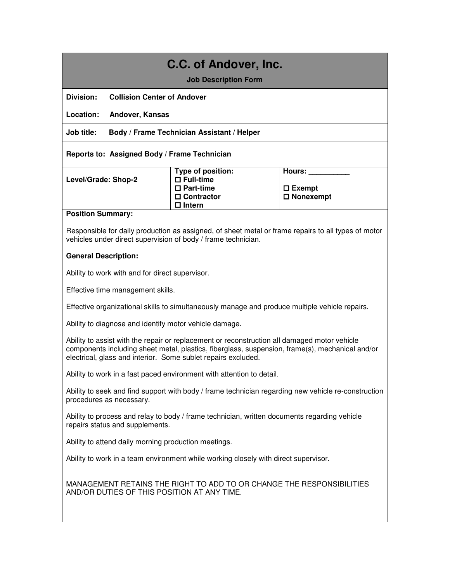# **C.C. of Andover, Inc.**

**Job Description Form** 

**Division: Collision Center of Andover** 

**Location: Andover, Kansas** 

**Job title: Body / Frame Technician Assistant / Helper** 

**Reports to: Assigned Body / Frame Technician** 

**Type of position: Full-time Part-time Contractor Intern Hours: \_\_\_\_\_\_\_\_\_\_ Exempt Nonexempt**

#### **Position Summary:**

Responsible for daily production as assigned, of sheet metal or frame repairs to all types of motor vehicles under direct supervision of body / frame technician.

## **General Description:**

Ability to work with and for direct supervisor.

Effective time management skills.

Effective organizational skills to simultaneously manage and produce multiple vehicle repairs.

Ability to diagnose and identify motor vehicle damage.

Ability to assist with the repair or replacement or reconstruction all damaged motor vehicle components including sheet metal, plastics, fiberglass, suspension, frame(s), mechanical and/or electrical, glass and interior. Some sublet repairs excluded.

Ability to work in a fast paced environment with attention to detail.

Ability to seek and find support with body / frame technician regarding new vehicle re-construction procedures as necessary.

Ability to process and relay to body / frame technician, written documents regarding vehicle repairs status and supplements.

Ability to attend daily morning production meetings.

Ability to work in a team environment while working closely with direct supervisor.

MANAGEMENT RETAINS THE RIGHT TO ADD TO OR CHANGE THE RESPONSIBILITIES AND/OR DUTIES OF THIS POSITION AT ANY TIME.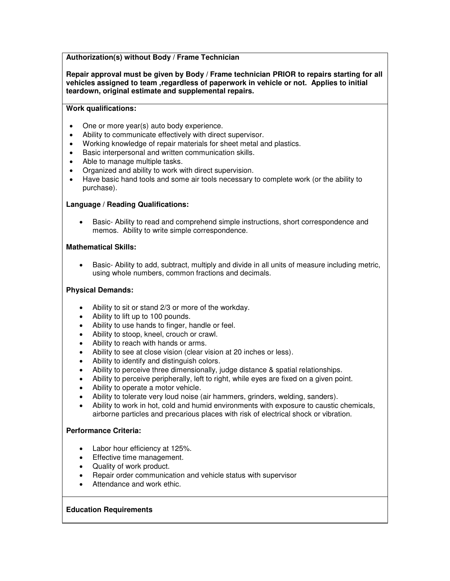# **Authorization(s) without Body / Frame Technician**

**Repair approval must be given by Body / Frame technician PRIOR to repairs starting for all vehicles assigned to team ,regardless of paperwork in vehicle or not. Applies to initial teardown, original estimate and supplemental repairs.** 

#### **Work qualifications:**

- One or more year(s) auto body experience.
- Ability to communicate effectively with direct supervisor.
- Working knowledge of repair materials for sheet metal and plastics.
- Basic interpersonal and written communication skills.
- Able to manage multiple tasks.
- Organized and ability to work with direct supervision.
- Have basic hand tools and some air tools necessary to complete work (or the ability to purchase).

#### **Language / Reading Qualifications:**

 Basic- Ability to read and comprehend simple instructions, short correspondence and memos. Ability to write simple correspondence.

#### **Mathematical Skills:**

 Basic- Ability to add, subtract, multiply and divide in all units of measure including metric, using whole numbers, common fractions and decimals.

### **Physical Demands:**

- Ability to sit or stand 2/3 or more of the workday.
- Ability to lift up to 100 pounds.
- Ability to use hands to finger, handle or feel.
- Ability to stoop, kneel, crouch or crawl.
- Ability to reach with hands or arms.
- Ability to see at close vision (clear vision at 20 inches or less).
- Ability to identify and distinguish colors.
- Ability to perceive three dimensionally, judge distance & spatial relationships.
- Ability to perceive peripherally, left to right, while eyes are fixed on a given point.
- Ability to operate a motor vehicle.
- Ability to tolerate very loud noise (air hammers, grinders, welding, sanders).
- Ability to work in hot, cold and humid environments with exposure to caustic chemicals, airborne particles and precarious places with risk of electrical shock or vibration.

#### **Performance Criteria:**

- Labor hour efficiency at 125%.
- Effective time management.
- Quality of work product.
- Repair order communication and vehicle status with supervisor
- Attendance and work ethic.

#### **Education Requirements**